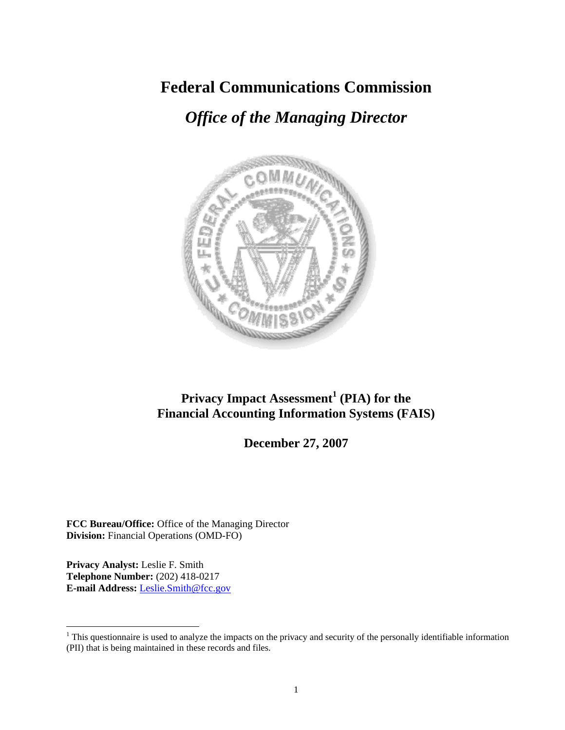# **Federal Communications Commission**

# *Office of the Managing Director*



## **Privacy Impact Assessment<sup>1</sup> (PIA) for the Financial Accounting Information Systems (FAIS)**

**December 27, 2007** 

**FCC Bureau/Office:** Office of the Managing Director **Division:** Financial Operations (OMD-FO)

**Privacy Analyst:** Leslie F. Smith **Telephone Number:** (202) 418-0217 **E-mail Address:** Leslie.Smith@fcc.gov

 $\overline{a}$ 

 $1$ <sup>1</sup> This questionnaire is used to analyze the impacts on the privacy and security of the personally identifiable information (PII) that is being maintained in these records and files.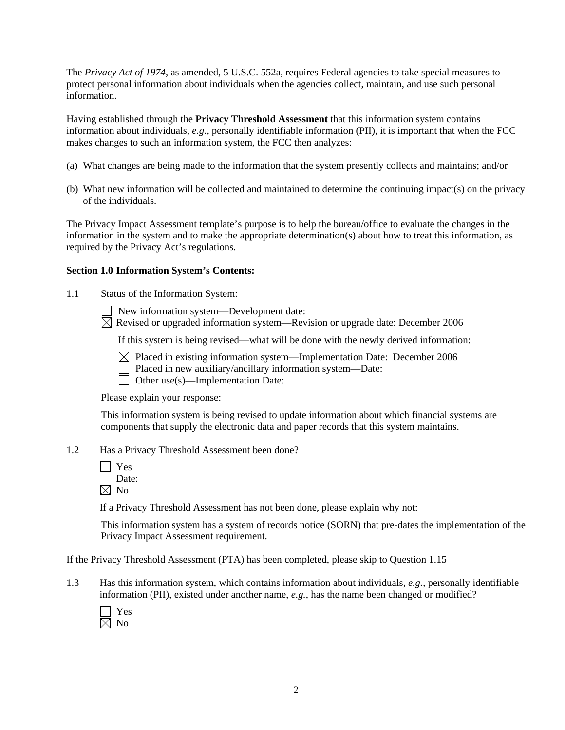The *Privacy Act of 1974*, as amended, 5 U.S.C. 552a, requires Federal agencies to take special measures to protect personal information about individuals when the agencies collect, maintain, and use such personal information.

Having established through the **Privacy Threshold Assessment** that this information system contains information about individuals, *e.g.*, personally identifiable information (PII), it is important that when the FCC makes changes to such an information system, the FCC then analyzes:

- (a) What changes are being made to the information that the system presently collects and maintains; and/or
- (b) What new information will be collected and maintained to determine the continuing impact(s) on the privacy of the individuals.

The Privacy Impact Assessment template's purpose is to help the bureau/office to evaluate the changes in the information in the system and to make the appropriate determination(s) about how to treat this information, as required by the Privacy Act's regulations.

#### **Section 1.0 Information System's Contents:**

1.1 Status of the Information System:

New information system—Development date:

 $\boxtimes$  Revised or upgraded information system—Revision or upgrade date: December 2006

If this system is being revised—what will be done with the newly derived information:

- $\boxtimes$  Placed in existing information system—Implementation Date: December 2006
	- Placed in new auxiliary/ancillary information system—Date:
- Other use(s)—Implementation Date:

Please explain your response:

This information system is being revised to update information about which financial systems are components that supply the electronic data and paper records that this system maintains.

- 1.2 Has a Privacy Threshold Assessment been done?
	- Yes Date:
	- $\boxtimes$  No

If a Privacy Threshold Assessment has not been done, please explain why not:

 This information system has a system of records notice (SORN) that pre-dates the implementation of the Privacy Impact Assessment requirement.

If the Privacy Threshold Assessment (PTA) has been completed, please skip to Question 1.15

1.3 Has this information system, which contains information about individuals, *e.g.*, personally identifiable information (PII), existed under another name, *e.g.*, has the name been changed or modified?

 Yes  $\boxtimes$  No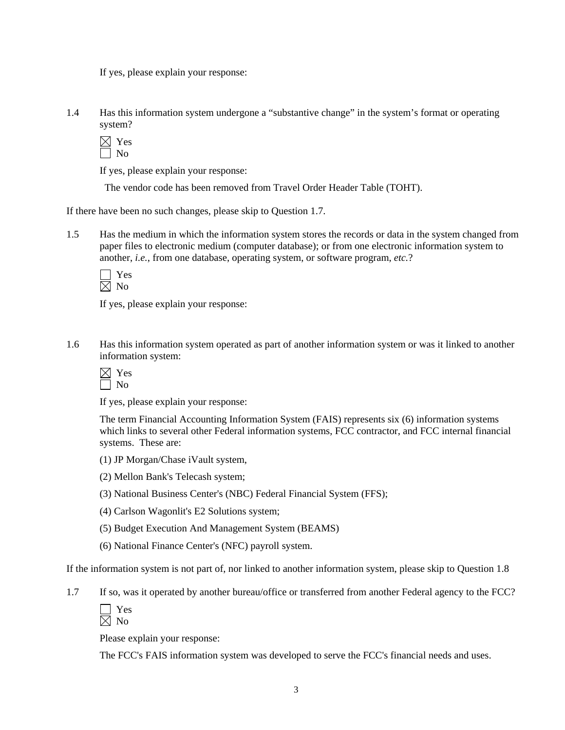If yes, please explain your response:

1.4 Has this information system undergone a "substantive change" in the system's format or operating system?

 $\boxtimes$  Yes No

If yes, please explain your response:

The vendor code has been removed from Travel Order Header Table (TOHT).

If there have been no such changes, please skip to Question 1.7.

1.5 Has the medium in which the information system stores the records or data in the system changed from paper files to electronic medium (computer database); or from one electronic information system to another, *i.e.*, from one database, operating system, or software program, *etc.*?

 Yes  $\boxtimes$  No

If yes, please explain your response:

1.6 Has this information system operated as part of another information system or was it linked to another information system:

If yes, please explain your response:

The term Financial Accounting Information System (FAIS) represents six (6) information systems which links to several other Federal information systems, FCC contractor, and FCC internal financial systems. These are:

- (1) JP Morgan/Chase iVault system,
- (2) Mellon Bank's Telecash system;
- (3) National Business Center's (NBC) Federal Financial System (FFS);
- (4) Carlson Wagonlit's E2 Solutions system;
- (5) Budget Execution And Management System (BEAMS)
- (6) National Finance Center's (NFC) payroll system.

If the information system is not part of, nor linked to another information system, please skip to Question 1.8

- 1.7 If so, was it operated by another bureau/office or transferred from another Federal agency to the FCC?
	- Yes  $\boxtimes$  No

Please explain your response:

The FCC's FAIS information system was developed to serve the FCC's financial needs and uses.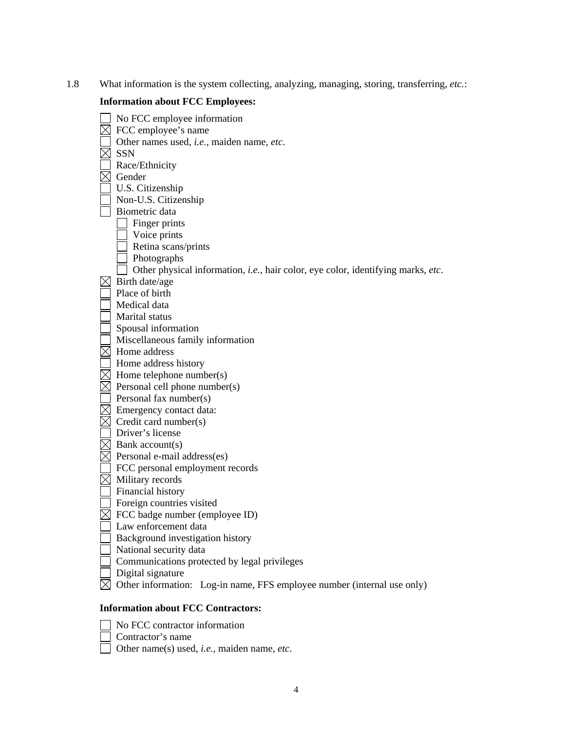1.8 What information is the system collecting, analyzing, managing, storing, transferring, *etc.*:

### **Information about FCC Employees:**

| No FCC employee information                                                              |
|------------------------------------------------------------------------------------------|
| FCC employee's name                                                                      |
| Other names used, i.e., maiden name, etc.                                                |
| <b>SSN</b>                                                                               |
| Race/Ethnicity                                                                           |
| Gender                                                                                   |
| U.S. Citizenship                                                                         |
| Non-U.S. Citizenship                                                                     |
| Biometric data                                                                           |
| Finger prints                                                                            |
| Voice prints                                                                             |
| Retina scans/prints                                                                      |
| Photographs                                                                              |
| Other physical information, <i>i.e.</i> , hair color, eye color, identifying marks, etc. |
| Birth date/age                                                                           |
| Place of birth                                                                           |
| Medical data                                                                             |
| Marital status                                                                           |
| Spousal information                                                                      |
| Miscellaneous family information                                                         |
| Home address                                                                             |
| Home address history                                                                     |
| Home telephone number(s)                                                                 |
| Personal cell phone number(s)                                                            |
| Personal fax number(s)                                                                   |
| Emergency contact data:                                                                  |
| Credit card number(s)                                                                    |
| Driver's license                                                                         |
| Bank account(s)                                                                          |
| Personal e-mail address(es)                                                              |
| FCC personal employment records                                                          |
| Military records                                                                         |
| Financial history                                                                        |
| Foreign countries visited                                                                |
| FCC badge number (employee ID)                                                           |
| Law enforcement data                                                                     |
| Background investigation history                                                         |
| National security data                                                                   |
| Communications protected by legal privileges                                             |
| Digital signature                                                                        |
| Other information: Log-in name, FFS employee number (internal use only)                  |
|                                                                                          |

## **Information about FCC Contractors:**

- No FCC contractor information
- Contractor's name
- Other name(s) used, *i.e.*, maiden name, *etc*.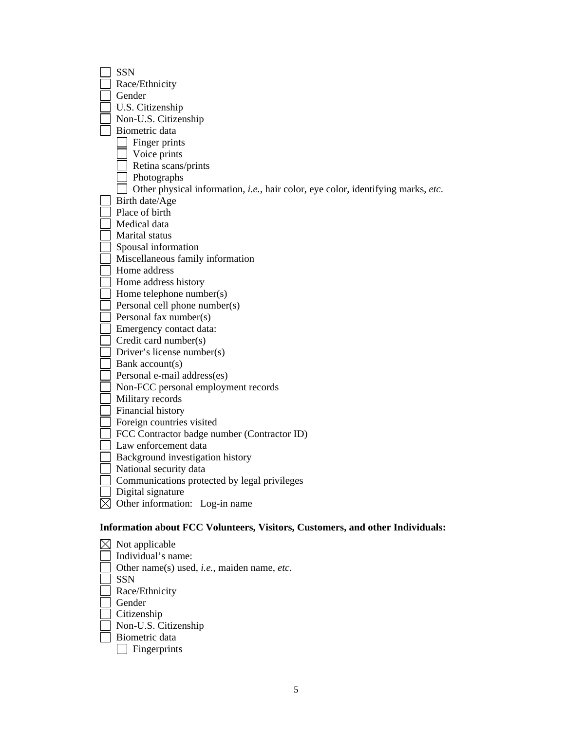| <b>SSN</b>                                                                                      |
|-------------------------------------------------------------------------------------------------|
| Race/Ethnicity                                                                                  |
| Gender                                                                                          |
| U.S. Citizenship                                                                                |
| Non-U.S. Citizenship                                                                            |
| Biometric data                                                                                  |
| Finger prints                                                                                   |
| Voice prints                                                                                    |
| Retina scans/prints                                                                             |
| Photographs                                                                                     |
| Other physical information, <i>i.e.</i> , hair color, eye color, identifying marks, <i>etc.</i> |
| Birth date/Age                                                                                  |
| Place of birth                                                                                  |
| Medical data                                                                                    |
| Marital status                                                                                  |
| Spousal information                                                                             |
| Miscellaneous family information                                                                |
| Home address                                                                                    |
| Home address history                                                                            |
| Home telephone number(s)                                                                        |
| Personal cell phone number(s)                                                                   |
| Personal fax number(s)                                                                          |
| Emergency contact data:                                                                         |
| Credit card number(s)                                                                           |
| Driver's license number(s)                                                                      |
| Bank account(s)                                                                                 |
| Personal e-mail address(es)                                                                     |
| Non-FCC personal employment records                                                             |
| Military records                                                                                |
| Financial history                                                                               |
| Foreign countries visited                                                                       |
| FCC Contractor badge number (Contractor ID)                                                     |
| Law enforcement data                                                                            |
| Background investigation history                                                                |
| National security data                                                                          |
| Communications protected by legal privileges                                                    |
| Digital signature                                                                               |
| Other information: Log-in name                                                                  |
| Information about FCC Volunteers, Visitors, Customers, and other Individuals:                   |

| Not applicable                                             |
|------------------------------------------------------------|
| Individual's name:                                         |
| Other name(s) used, <i>i.e.</i> , maiden name, <i>etc.</i> |
| <b>SSN</b>                                                 |
| Race/Ethnicity                                             |
| Gender                                                     |
| Citizenship                                                |
| Non-U.S. Citizenship                                       |
| Biometric data                                             |
| Fingerprints                                               |
|                                                            |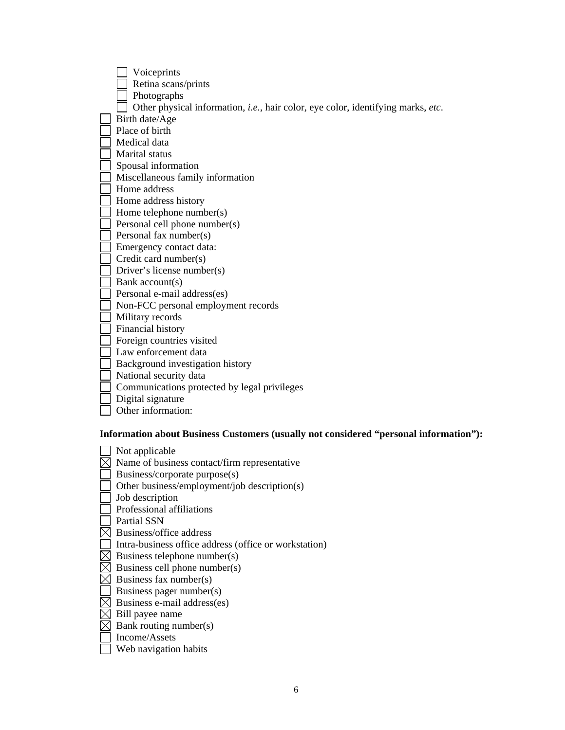| Voiceprints                                                                              |
|------------------------------------------------------------------------------------------|
| Retina scans/prints                                                                      |
| Photographs                                                                              |
| Other physical information, <i>i.e.</i> , hair color, eye color, identifying marks, etc. |
| Birth date/Age                                                                           |
| Place of birth                                                                           |
| Medical data                                                                             |
| Marital status                                                                           |
| Spousal information                                                                      |
| Miscellaneous family information                                                         |
| Home address                                                                             |
| Home address history                                                                     |
| Home telephone number(s)                                                                 |
| Personal cell phone number(s)                                                            |
| Personal fax number(s)                                                                   |
| Emergency contact data:                                                                  |
| Credit card number(s)                                                                    |
| Driver's license number(s)                                                               |
| Bank account(s)                                                                          |
| Personal e-mail address(es)                                                              |
| Non-FCC personal employment records                                                      |
| Military records                                                                         |
| Financial history                                                                        |
| Foreign countries visited                                                                |
| Law enforcement data                                                                     |
| Background investigation history                                                         |
| National security data                                                                   |
| Communications protected by legal privileges                                             |
| Digital signature                                                                        |
| Other information:                                                                       |
|                                                                                          |

 **Information about Business Customers (usually not considered "personal information"):** 

| Not applicable                                        |
|-------------------------------------------------------|
| Name of business contact/firm representative          |
| Business/corporate purpose(s)                         |
| Other business/employment/job description(s)          |
| Job description                                       |
| Professional affiliations                             |
| <b>Partial SSN</b>                                    |
| Business/office address                               |
| Intra-business office address (office or workstation) |
| Business telephone number(s)                          |
| Business cell phone number(s)                         |
| Business fax number(s)                                |
| Business pager number(s)                              |
| Business e-mail address(es)                           |
| Bill payee name                                       |
| Bank routing number(s)                                |
| Income/Assets                                         |
| Web navigation habits                                 |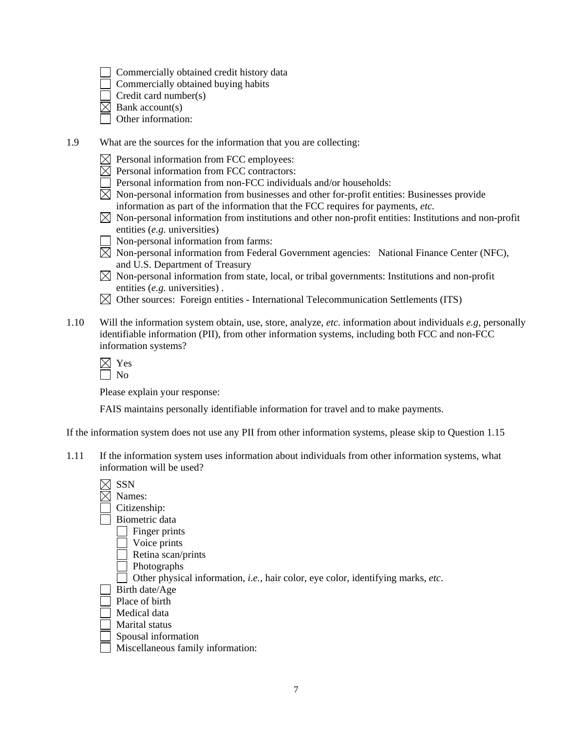- Commercially obtained credit history data
- Commercially obtained buying habits

Credit card number(s)

- $\overline{\boxtimes}$  Bank account(s)
- Other information:
- 1.9 What are the sources for the information that you are collecting:
	- $\bowtie$  Personal information from FCC employees:
	- $\boxtimes$  Personal information from FCC contractors:
	- $\Box$  Personal information from non-FCC individuals and/or households:
	- $\boxtimes$  Non-personal information from businesses and other for-profit entities: Businesses provide information as part of the information that the FCC requires for payments, *etc.*
	- $\boxtimes$  Non-personal information from institutions and other non-profit entities: Institutions and non-profit entities (*e.g.* universities)
	- Non-personal information from farms:
	- $\boxtimes$  Non-personal information from Federal Government agencies: National Finance Center (NFC), and U.S. Department of Treasury
	- $\boxtimes$  Non-personal information from state, local, or tribal governments: Institutions and non-profit entities (*e.g.* universities) .
	- $\boxtimes$  Other sources: Foreign entities International Telecommunication Settlements (ITS)
- 1.10 Will the information system obtain, use, store, analyze, *etc*. information about individuals *e.g*, personally identifiable information (PII), from other information systems, including both FCC and non-FCC information systems?

Please explain your response:

FAIS maintains personally identifiable information for travel and to make payments.

If the information system does not use any PII from other information systems, please skip to Question 1.15

1.11 If the information system uses information about individuals from other information systems, what information will be used?

| <b>SSN</b>                                                                       |
|----------------------------------------------------------------------------------|
| Names:                                                                           |
| Citizenship:                                                                     |
| Biometric data                                                                   |
| Finger prints                                                                    |
| Voice prints                                                                     |
| Retina scan/prints                                                               |
| Photographs                                                                      |
| Other physical information, i.e., hair color, eye color, identifying marks, etc. |
| Birth date/Age                                                                   |
| Place of birth                                                                   |
| Medical data                                                                     |
| Marital status                                                                   |
| Spousal information                                                              |
| Miscellaneous family information:                                                |
|                                                                                  |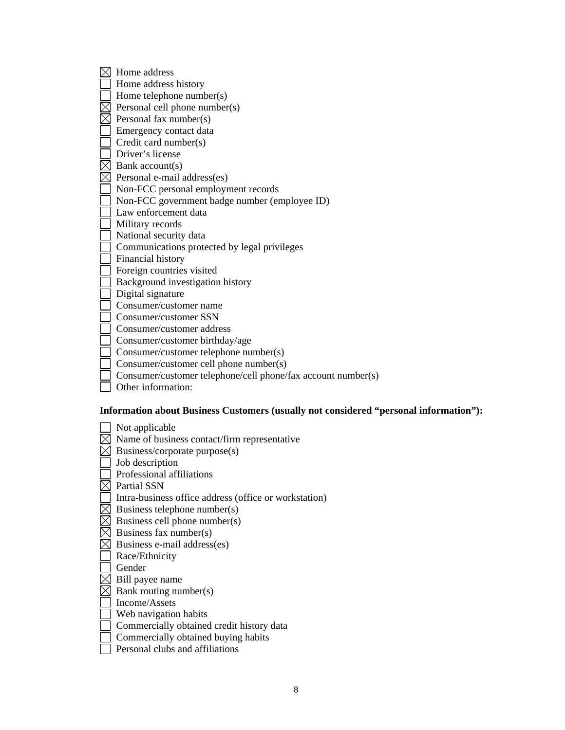| ⊠ | Home address                                                                          |
|---|---------------------------------------------------------------------------------------|
|   | Home address history                                                                  |
|   | Home telephone number(s)                                                              |
|   | Personal cell phone number(s)                                                         |
|   | Personal fax number(s)                                                                |
|   | Emergency contact data                                                                |
|   | Credit card number(s)                                                                 |
|   | Driver's license                                                                      |
|   | Bank account(s)                                                                       |
|   | Personal e-mail address(es)                                                           |
|   | Non-FCC personal employment records                                                   |
|   | Non-FCC government badge number (employee ID)                                         |
|   | Law enforcement data                                                                  |
|   | Military records                                                                      |
|   | National security data                                                                |
|   | Communications protected by legal privileges                                          |
|   | Financial history                                                                     |
|   | Foreign countries visited                                                             |
|   | Background investigation history                                                      |
|   | Digital signature                                                                     |
|   | Consumer/customer name                                                                |
|   | Consumer/customer SSN                                                                 |
|   | Consumer/customer address                                                             |
|   | Consumer/customer birthday/age                                                        |
|   | Consumer/customer telephone number(s)                                                 |
|   | Consumer/customer cell phone number(s)                                                |
|   | Consumer/customer telephone/cell phone/fax account number(s)                          |
|   | Other information:                                                                    |
|   |                                                                                       |
|   | Information about Business Customers (usually not considered "personal information"): |
|   | Not applicable                                                                        |
|   | Name of business contact/firm representative                                          |
|   | Business/corporate purpose(s)                                                         |
|   | Job description                                                                       |
|   | Professional affiliations                                                             |
|   |                                                                                       |
|   | Partial SSN                                                                           |
|   | Intra-business office address (office or workstation)                                 |
|   | Business telephone number(s)                                                          |
|   | Business cell phone number(s)                                                         |
|   | Business fax number(s)                                                                |
|   | Business e-mail address(es)                                                           |
|   | Race/Ethnicity                                                                        |
|   | Gender                                                                                |
|   | Bill payee name                                                                       |
|   | Bank routing number(s)                                                                |
|   | Income/Assets                                                                         |
|   | Web navigation habits                                                                 |
|   | Commercially obtained credit history data                                             |
|   | Commercially obtained buying habits                                                   |

8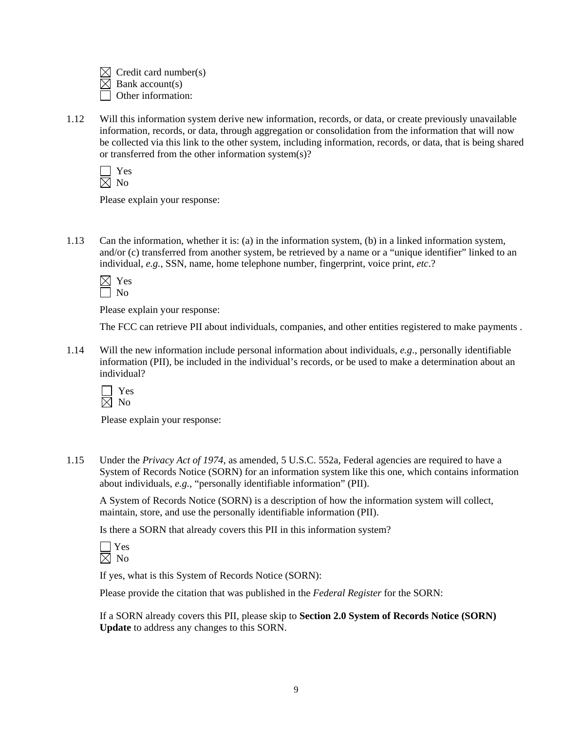$\bowtie$  Credit card number(s) Bank account(s) Other information:

1.12 Will this information system derive new information, records, or data, or create previously unavailable information, records, or data, through aggregation or consolidation from the information that will now be collected via this link to the other system, including information, records, or data, that is being shared or transferred from the other information system(s)?

Please explain your response:

1.13 Can the information, whether it is: (a) in the information system, (b) in a linked information system, and/or (c) transferred from another system, be retrieved by a name or a "unique identifier" linked to an individual, *e.g.*, SSN, name, home telephone number, fingerprint, voice print, *etc*.?

Please explain your response:

The FCC can retrieve PII about individuals, companies, and other entities registered to make payments .

1.14 Will the new information include personal information about individuals, *e.g*., personally identifiable information (PII), be included in the individual's records, or be used to make a determination about an individual?



Please explain your response:

1.15 Under the *Privacy Act of 1974*, as amended, 5 U.S.C. 552a, Federal agencies are required to have a System of Records Notice (SORN) for an information system like this one, which contains information about individuals, *e.g.*, "personally identifiable information" (PII).

A System of Records Notice (SORN) is a description of how the information system will collect, maintain, store, and use the personally identifiable information (PII).

Is there a SORN that already covers this PII in this information system?

| ∸ |
|---|
| 1 |

If yes, what is this System of Records Notice (SORN):

Please provide the citation that was published in the *Federal Register* for the SORN:

If a SORN already covers this PII, please skip to **Section 2.0 System of Records Notice (SORN) Update** to address any changes to this SORN.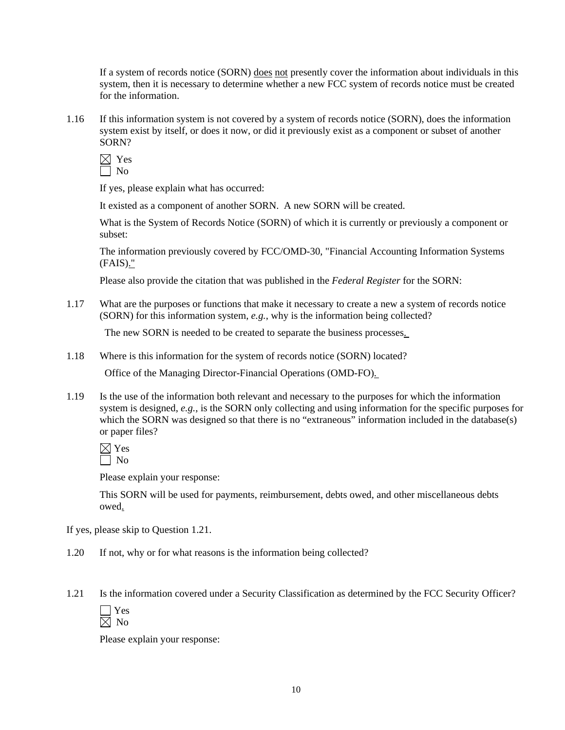If a system of records notice (SORN) does not presently cover the information about individuals in this system, then it is necessary to determine whether a new FCC system of records notice must be created for the information.

1.16 If this information system is not covered by a system of records notice (SORN), does the information system exist by itself, or does it now, or did it previously exist as a component or subset of another SORN?

 $\boxtimes$  Yes  $\overline{\Box}$  No

If yes, please explain what has occurred:

It existed as a component of another SORN. A new SORN will be created.

What is the System of Records Notice (SORN) of which it is currently or previously a component or subset:

The information previously covered by FCC/OMD-30, "Financial Accounting Information Systems (FAIS)."

Please also provide the citation that was published in the *Federal Register* for the SORN:

1.17 What are the purposes or functions that make it necessary to create a new a system of records notice (SORN) for this information system, *e.g.*, why is the information being collected?

The new SORN is needed to be created to separate the business processes.

1.18 Where is this information for the system of records notice (SORN) located?

Office of the Managing Director-Financial Operations (OMD-FO).

1.19 Is the use of the information both relevant and necessary to the purposes for which the information system is designed, *e.g.*, is the SORN only collecting and using information for the specific purposes for which the SORN was designed so that there is no "extraneous" information included in the database(s) or paper files?

 $\boxtimes$  Yes  $\Box$  No

Please explain your response:

This SORN will be used for payments, reimbursement, debts owed, and other miscellaneous debts owed.

If yes, please skip to Question 1.21.

- 1.20 If not, why or for what reasons is the information being collected?
- 1.21 Is the information covered under a Security Classification as determined by the FCC Security Officer?

Please explain your response: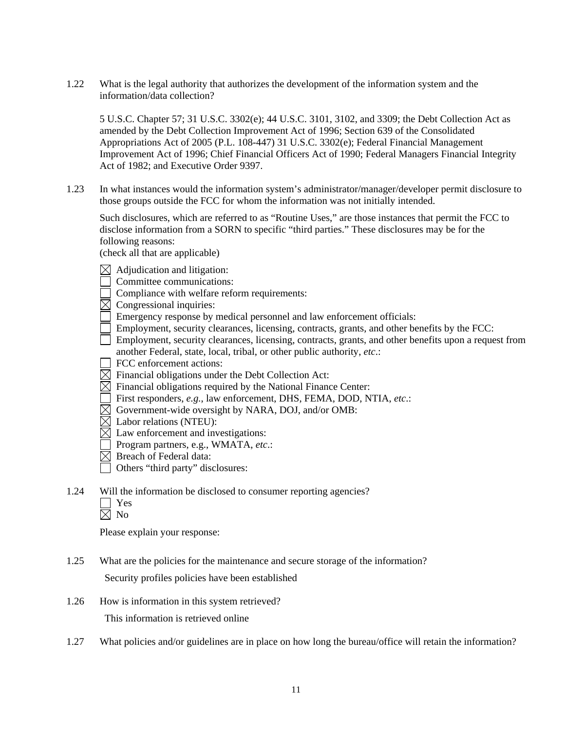1.22 What is the legal authority that authorizes the development of the information system and the information/data collection?

 5 U.S.C. Chapter 57; 31 U.S.C. 3302(e); 44 U.S.C. 3101, 3102, and 3309; the Debt Collection Act as amended by the Debt Collection Improvement Act of 1996; Section 639 of the Consolidated Appropriations Act of 2005 (P.L. 108-447) 31 U.S.C. 3302(e); Federal Financial Management Improvement Act of 1996; Chief Financial Officers Act of 1990; Federal Managers Financial Integrity Act of 1982; and Executive Order 9397.

1.23 In what instances would the information system's administrator/manager/developer permit disclosure to those groups outside the FCC for whom the information was not initially intended.

 Such disclosures, which are referred to as "Routine Uses," are those instances that permit the FCC to disclose information from a SORN to specific "third parties." These disclosures may be for the following reasons:

(check all that are applicable)

 $\boxtimes$  Adjudication and litigation:

Committee communications:

- Compliance with welfare reform requirements:
- $\boxtimes$  Congressional inquiries:
- Emergency response by medical personnel and law enforcement officials:
- Employment, security clearances, licensing, contracts, grants, and other benefits by the FCC:
- Employment, security clearances, licensing, contracts, grants, and other benefits upon a request from another Federal, state, local, tribal, or other public authority, *etc*.:
- FCC enforcement actions:
- $\boxtimes$  Financial obligations under the Debt Collection Act:
- $\overline{\boxtimes}$  Financial obligations required by the National Finance Center:
- First responders, *e.g.*, law enforcement, DHS, FEMA, DOD, NTIA, *etc*.:
- $\boxtimes$  Government-wide oversight by NARA, DOJ, and/or OMB:
- $\boxtimes$  Labor relations (NTEU):
- $\boxtimes$  Law enforcement and investigations:
- Program partners, e.g., WMATA, *etc*.:
- $\boxtimes$  Breach of Federal data:
- Others "third party" disclosures:
- 1.24 Will the information be disclosed to consumer reporting agencies?
	- Yes
	- $\boxtimes$  No

Please explain your response:

1.25 What are the policies for the maintenance and secure storage of the information?

Security profiles policies have been established

- 1.26 How is information in this system retrieved? This information is retrieved online
- 1.27 What policies and/or guidelines are in place on how long the bureau/office will retain the information?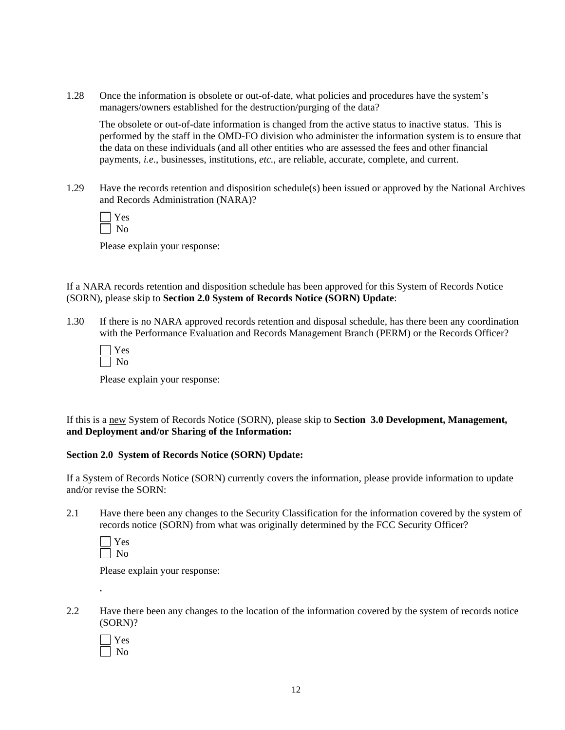1.28 Once the information is obsolete or out-of-date, what policies and procedures have the system's managers/owners established for the destruction/purging of the data?

 The obsolete or out-of-date information is changed from the active status to inactive status. This is performed by the staff in the OMD-FO division who administer the information system is to ensure that the data on these individuals (and all other entities who are assessed the fees and other financial payments, *i.e.*, businesses, institutions, *etc.*, are reliable, accurate, complete, and current.

1.29 Have the records retention and disposition schedule(s) been issued or approved by the National Archives and Records Administration (NARA)?

Please explain your response:

If a NARA records retention and disposition schedule has been approved for this System of Records Notice (SORN), please skip to **Section 2.0 System of Records Notice (SORN) Update**:

1.30 If there is no NARA approved records retention and disposal schedule, has there been any coordination with the Performance Evaluation and Records Management Branch (PERM) or the Records Officer?

| ۳ |
|---|
|   |

Please explain your response:

If this is a new System of Records Notice (SORN), please skip to **Section 3.0 Development, Management, and Deployment and/or Sharing of the Information:** 

#### **Section 2.0 System of Records Notice (SORN) Update:**

If a System of Records Notice (SORN) currently covers the information, please provide information to update and/or revise the SORN:

2.1 Have there been any changes to the Security Classification for the information covered by the system of records notice (SORN) from what was originally determined by the FCC Security Officer?

,

Please explain your response:

2.2 Have there been any changes to the location of the information covered by the system of records notice (SORN)?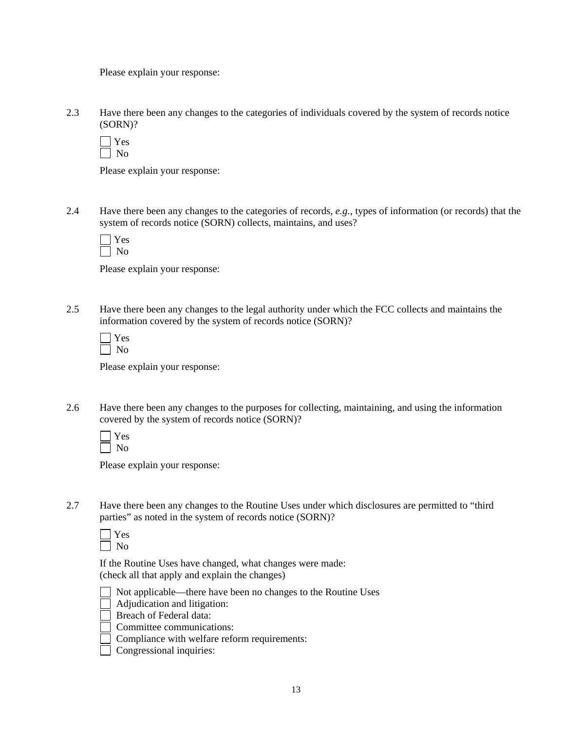Please explain your response:

2.3 Have there been any changes to the categories of individuals covered by the system of records notice (SORN)?

 $\Box$  Yes No

Please explain your response:

2.4 Have there been any changes to the categories of records, *e.g.*, types of information (or records) that the system of records notice (SORN) collects, maintains, and uses?

Please explain your response:

2.5 Have there been any changes to the legal authority under which the FCC collects and maintains the information covered by the system of records notice (SORN)?

| ۳ |
|---|
|   |

Please explain your response:

2.6 Have there been any changes to the purposes for collecting, maintaining, and using the information covered by the system of records notice (SORN)?

Please explain your response:

2.7 Have there been any changes to the Routine Uses under which disclosures are permitted to "third parties" as noted in the system of records notice (SORN)?

 If the Routine Uses have changed, what changes were made: (check all that apply and explain the changes)



- Adjudication and litigation:
- Breach of Federal data:

Committee communications:

- Compliance with welfare reform requirements:
- Congressional inquiries: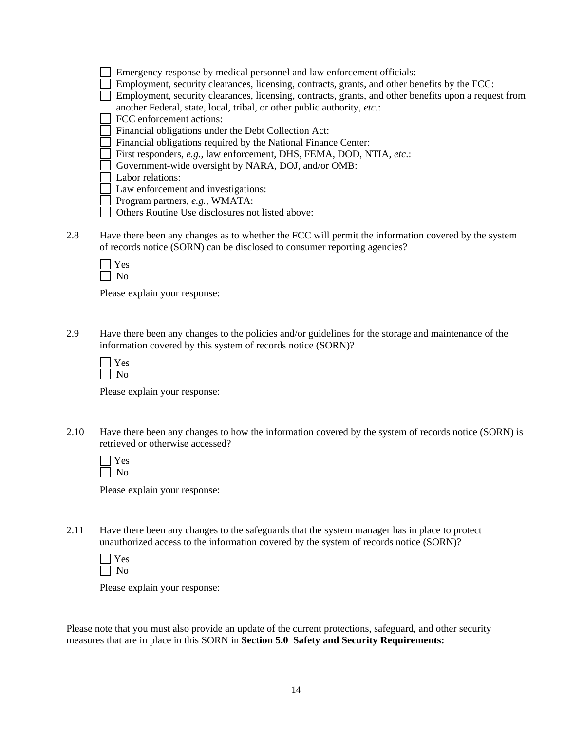| Emergency response by medical personnel and law enforcement officials:                                |
|-------------------------------------------------------------------------------------------------------|
| Employment, security clearances, licensing, contracts, grants, and other benefits by the FCC:         |
| Employment, security clearances, licensing, contracts, grants, and other benefits upon a request from |
| another Federal, state, local, tribal, or other public authority, etc.:                               |
| FCC enforcement actions:                                                                              |
| Financial obligations under the Debt Collection Act:                                                  |
| Financial obligations required by the National Finance Center:                                        |
| First responders, e.g., law enforcement, DHS, FEMA, DOD, NTIA, etc.:                                  |
| Government-wide oversight by NARA, DOJ, and/or OMB:                                                   |
| Labor relations:                                                                                      |

Law enforcement and investigations:

Program partners, *e.g.*, WMATA:

- Others Routine Use disclosures not listed above:
- 2.8 Have there been any changes as to whether the FCC will permit the information covered by the system of records notice (SORN) can be disclosed to consumer reporting agencies?

Please explain your response:

2.9 Have there been any changes to the policies and/or guidelines for the storage and maintenance of the information covered by this system of records notice (SORN)?

Please explain your response:

2.10 Have there been any changes to how the information covered by the system of records notice (SORN) is retrieved or otherwise accessed?

Please explain your response:

2.11 Have there been any changes to the safeguards that the system manager has in place to protect unauthorized access to the information covered by the system of records notice (SORN)?

Please explain your response:

Please note that you must also provide an update of the current protections, safeguard, and other security measures that are in place in this SORN in **Section 5.0 Safety and Security Requirements:**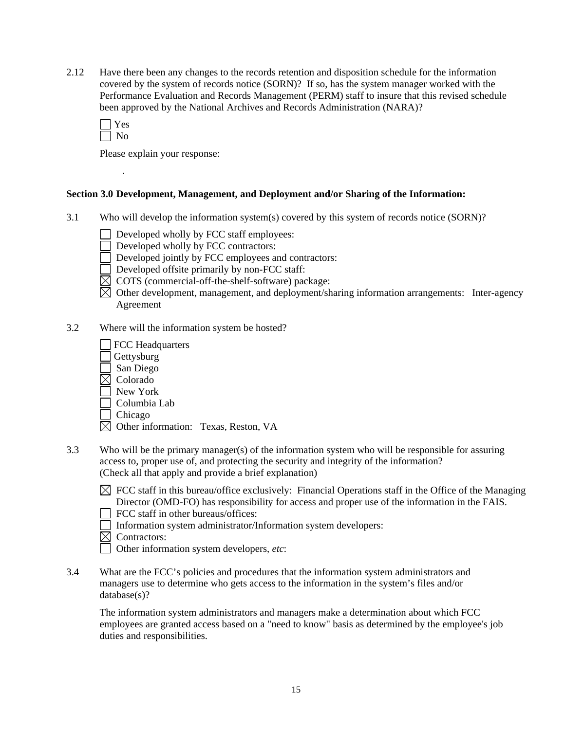2.12 Have there been any changes to the records retention and disposition schedule for the information covered by the system of records notice (SORN)? If so, has the system manager worked with the Performance Evaluation and Records Management (PERM) staff to insure that this revised schedule been approved by the National Archives and Records Administration (NARA)?

 *.*

Please explain your response:

#### **Section 3.0 Development, Management, and Deployment and/or Sharing of the Information:**

- 3.1 Who will develop the information system(s) covered by this system of records notice (SORN)?
	- Developed wholly by FCC staff employees:
	- Developed wholly by FCC contractors:
	- Developed jointly by FCC employees and contractors:
	- Developed offsite primarily by non-FCC staff:
	- $\boxtimes$  COTS (commercial-off-the-shelf-software) package:
	- $\boxtimes$  Other development, management, and deployment/sharing information arrangements: Inter-agency Agreement
- 3.2 Where will the information system be hosted?
	- FCC Headquarters Gettysburg San Diego  $\boxtimes$  Colorado New York Columbia Lab Chicago  $\boxtimes$  Other information: Texas, Reston, VA
- 3.3 Who will be the primary manager(s) of the information system who will be responsible for assuring access to, proper use of, and protecting the security and integrity of the information? (Check all that apply and provide a brief explanation)
	- $\boxtimes$  FCC staff in this bureau/office exclusively: Financial Operations staff in the Office of the Managing Director (OMD-FO) has responsibility for access and proper use of the information in the FAIS.
		- FCC staff in other bureaus/offices:
	- Information system administrator/Information system developers:
	- $\boxtimes$  Contractors:
	- Other information system developers, *etc*:
- 3.4 What are the FCC's policies and procedures that the information system administrators and managers use to determine who gets access to the information in the system's files and/or database(s)?

The information system administrators and managers make a determination about which FCC employees are granted access based on a "need to know" basis as determined by the employee's job duties and responsibilities.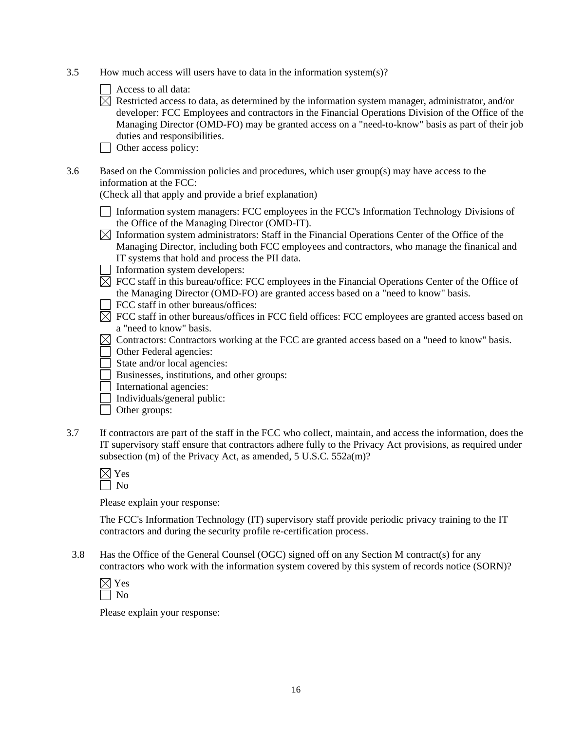- 3.5 How much access will users have to data in the information system(s)?
	- Access to all data:
	- $\boxtimes$  Restricted access to data, as determined by the information system manager, administrator, and/or developer: FCC Employees and contractors in the Financial Operations Division of the Office of the Managing Director (OMD-FO) may be granted access on a "need-to-know" basis as part of their job duties and responsibilities.
	- Other access policy:
- 3.6 Based on the Commission policies and procedures, which user group(s) may have access to the information at the FCC:

(Check all that apply and provide a brief explanation)

- Information system managers: FCC employees in the FCC's Information Technology Divisions of the Office of the Managing Director (OMD-IT).
- $\boxtimes$  Information system administrators: Staff in the Financial Operations Center of the Office of the Managing Director, including both FCC employees and contractors, who manage the finanical and IT systems that hold and process the PII data.
- Information system developers:
- $\boxtimes$  FCC staff in this bureau/office: FCC employees in the Financial Operations Center of the Office of the Managing Director (OMD-FO) are granted access based on a "need to know" basis.
- $\Box$  FCC staff in other bureaus/offices:
- $\overline{\boxtimes}$  FCC staff in other bureaus/offices in FCC field offices: FCC employees are granted access based on a "need to know" basis.
- $\boxtimes$  Contractors: Contractors working at the FCC are granted access based on a "need to know" basis.
- Other Federal agencies:
- State and/or local agencies:
- Businesses, institutions, and other groups:
- $\Box$  International agencies:
- $\Box$  Individuals/general public:
- □ Other groups:
- 3.7 If contractors are part of the staff in the FCC who collect, maintain, and access the information, does the IT supervisory staff ensure that contractors adhere fully to the Privacy Act provisions, as required under subsection (m) of the Privacy Act, as amended, 5 U.S.C. 552a(m)?

| $\overline{\phantom{a}}$ |  |
|--------------------------|--|

Please explain your response:

The FCC's Information Technology (IT) supervisory staff provide periodic privacy training to the IT contractors and during the security profile re-certification process.

3.8 Has the Office of the General Counsel (OGC) signed off on any Section M contract(s) for any contractors who work with the information system covered by this system of records notice (SORN)?

Please explain your response: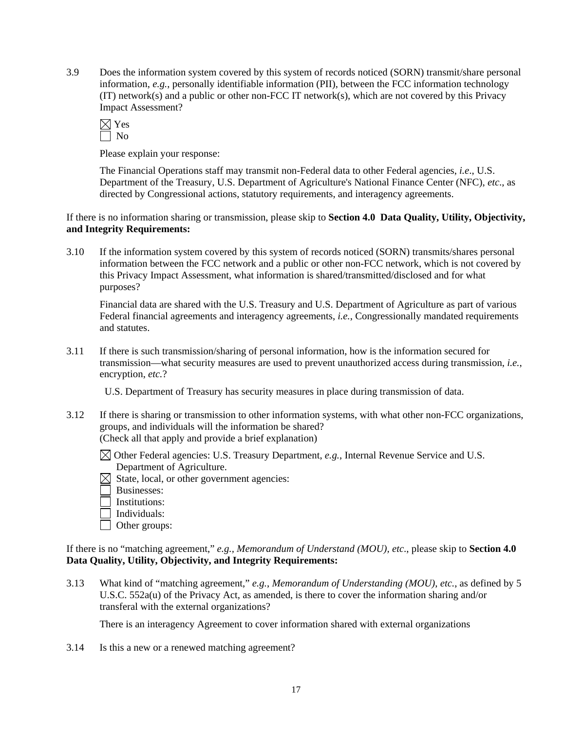3.9 Does the information system covered by this system of records noticed (SORN) transmit/share personal information, *e.g.*, personally identifiable information (PII), between the FCC information technology (IT) network(s) and a public or other non-FCC IT network(s), which are not covered by this Privacy Impact Assessment?

$$
\frac{\boxtimes}{\text{Yes}}\xrightarrow{\text{Yes}}
$$

Please explain your response:

The Financial Operations staff may transmit non-Federal data to other Federal agencies, *i.e*., U.S. Department of the Treasury, U.S. Department of Agriculture's National Finance Center (NFC), *etc*., as directed by Congressional actions, statutory requirements, and interagency agreements.

If there is no information sharing or transmission, please skip to **Section 4.0 Data Quality, Utility, Objectivity, and Integrity Requirements:**

3.10 If the information system covered by this system of records noticed (SORN) transmits/shares personal information between the FCC network and a public or other non-FCC network, which is not covered by this Privacy Impact Assessment, what information is shared/transmitted/disclosed and for what purposes?

 Financial data are shared with the U.S. Treasury and U.S. Department of Agriculture as part of various Federal financial agreements and interagency agreements, *i.e.*, Congressionally mandated requirements and statutes.

3.11 If there is such transmission/sharing of personal information, how is the information secured for transmission—what security measures are used to prevent unauthorized access during transmission, *i.e.*, encryption, *etc.*?

U.S. Department of Treasury has security measures in place during transmission of data.

3.12 If there is sharing or transmission to other information systems, with what other non-FCC organizations, groups, and individuals will the information be shared? (Check all that apply and provide a brief explanation)

 Other Federal agencies: U.S. Treasury Department, *e.g.*, Internal Revenue Service and U.S. Department of Agriculture.

- $\boxtimes$  State, local, or other government agencies:
	- Businesses:
	- Institutions:
- Individuals:
- Other groups:

If there is no "matching agreement," *e.g., Memorandum of Understand (MOU), etc*., please skip to **Section 4.0 Data Quality, Utility, Objectivity, and Integrity Requirements:** 

3.13 What kind of "matching agreement," *e.g.*, *Memorandum of Understanding (MOU)*, *etc.*, as defined by 5 U.S.C. 552a(u) of the Privacy Act, as amended, is there to cover the information sharing and/or transferal with the external organizations?

There is an interagency Agreement to cover information shared with external organizations

3.14 Is this a new or a renewed matching agreement?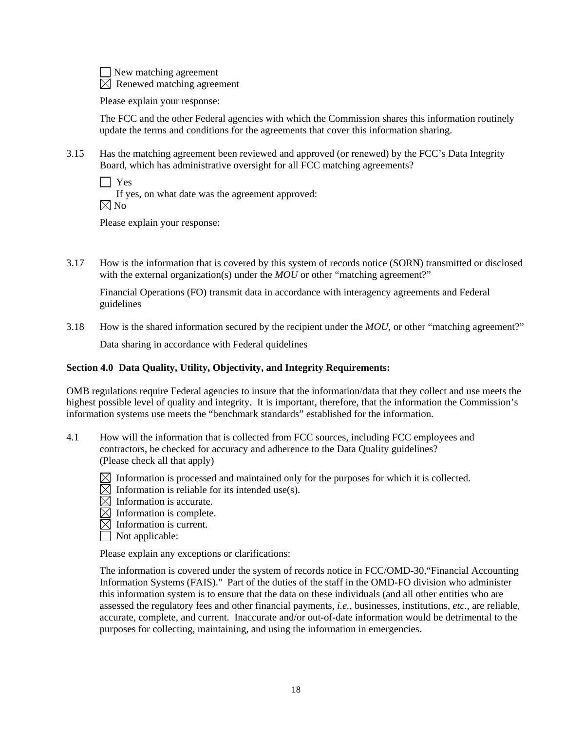New matching agreement  $\boxtimes$  Renewed matching agreement

Please explain your response:

 The FCC and the other Federal agencies with which the Commission shares this information routinely update the terms and conditions for the agreements that cover this information sharing.

3.15 Has the matching agreement been reviewed and approved (or renewed) by the FCC's Data Integrity Board, which has administrative oversight for all FCC matching agreements?

 $\Box$  Yes If yes, on what date was the agreement approved:  $\boxtimes$  No

Please explain your response:

3.17 How is the information that is covered by this system of records notice (SORN) transmitted or disclosed with the external organization(s) under the *MOU* or other "matching agreement?"

Financial Operations (FO) transmit data in accordance with interagency agreements and Federal guidelines

3.18 How is the shared information secured by the recipient under the *MOU*, or other "matching agreement?"

Data sharing in accordance with Federal quidelines

#### **Section 4.0 Data Quality, Utility, Objectivity, and Integrity Requirements:**

OMB regulations require Federal agencies to insure that the information/data that they collect and use meets the highest possible level of quality and integrity. It is important, therefore, that the information the Commission's information systems use meets the "benchmark standards" established for the information.

- 4.1 How will the information that is collected from FCC sources, including FCC employees and contractors, be checked for accuracy and adherence to the Data Quality guidelines? (Please check all that apply)
	- $\boxtimes$  Information is processed and maintained only for the purposes for which it is collected.
	- $\boxtimes$  Information is reliable for its intended use(s).
	- $\boxtimes$  Information is accurate.
	- $\overline{\boxtimes}$  Information is complete.
	- $\boxtimes$  Information is current.
	- Not applicable:

Please explain any exceptions or clarifications:

The information is covered under the system of records notice in FCC/OMD-30,"Financial Accounting Information Systems (FAIS)." Part of the duties of the staff in the OMD-FO division who administer this information system is to ensure that the data on these individuals (and all other entities who are assessed the regulatory fees and other financial payments, *i.e.*, businesses, institutions, *etc.*, are reliable, accurate, complete, and current. Inaccurate and/or out-of-date information would be detrimental to the purposes for collecting, maintaining, and using the information in emergencies.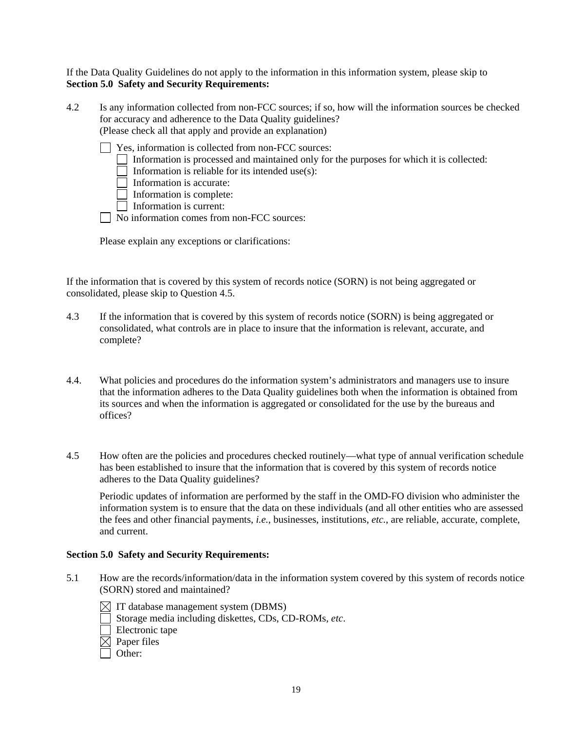If the Data Quality Guidelines do not apply to the information in this information system, please skip to **Section 5.0 Safety and Security Requirements:** 

4.2 Is any information collected from non-FCC sources; if so, how will the information sources be checked for accuracy and adherence to the Data Quality guidelines? (Please check all that apply and provide an explanation)

| Yes, information is collected from non-FCC sources:                                             |
|-------------------------------------------------------------------------------------------------|
| $\Box$ Information is processed and maintained only for the purposes for which it is collected: |
| Information is reliable for its intended use $(s)$ :                                            |
| Information is accurate:                                                                        |
| $\Box$ Information is complete:                                                                 |
| Information is current:                                                                         |
| $\Box$ No information comes from non $ECC$ sources:                                             |

| | No information comes from non-FCC sources:

Please explain any exceptions or clarifications:

If the information that is covered by this system of records notice (SORN) is not being aggregated or consolidated, please skip to Question 4.5.

- 4.3 If the information that is covered by this system of records notice (SORN) is being aggregated or consolidated, what controls are in place to insure that the information is relevant, accurate, and complete?
- 4.4. What policies and procedures do the information system's administrators and managers use to insure that the information adheres to the Data Quality guidelines both when the information is obtained from its sources and when the information is aggregated or consolidated for the use by the bureaus and offices?
- 4.5 How often are the policies and procedures checked routinely—what type of annual verification schedule has been established to insure that the information that is covered by this system of records notice adheres to the Data Quality guidelines?

 Periodic updates of information are performed by the staff in the OMD-FO division who administer the information system is to ensure that the data on these individuals (and all other entities who are assessed the fees and other financial payments, *i.e.*, businesses, institutions, *etc.*, are reliable, accurate, complete, and current.

#### **Section 5.0 Safety and Security Requirements:**

5.1 How are the records/information/data in the information system covered by this system of records notice (SORN) stored and maintained?

 $\boxtimes$  IT database management system (DBMS)

- Storage media including diskettes, CDs, CD-ROMs, *etc*.
- **Electronic tape**
- $\boxtimes$  Paper files
- Other: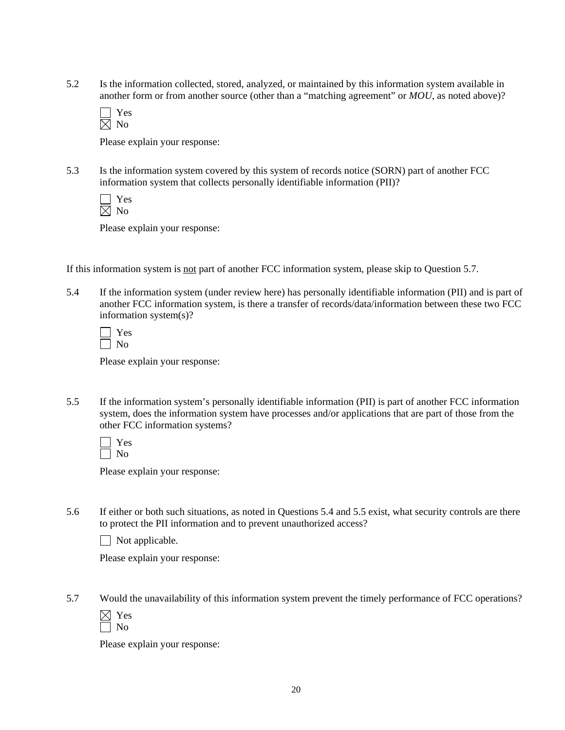5.2 Is the information collected, stored, analyzed, or maintained by this information system available in another form or from another source (other than a "matching agreement" or *MOU*, as noted above)?

Please explain your response:

5.3 Is the information system covered by this system of records notice (SORN) part of another FCC information system that collects personally identifiable information (PII)?

| еs |
|----|
| C. |
|    |

Please explain your response:

If this information system is not part of another FCC information system, please skip to Question 5.7.

5.4 If the information system (under review here) has personally identifiable information (PII) and is part of another FCC information system, is there a transfer of records/data/information between these two FCC information system(s)?

Please explain your response:

5.5 If the information system's personally identifiable information (PII) is part of another FCC information system, does the information system have processes and/or applications that are part of those from the other FCC information systems?

 Yes  $\Box$  No

Please explain your response:

5.6 If either or both such situations, as noted in Questions 5.4 and 5.5 exist, what security controls are there to protect the PII information and to prevent unauthorized access?

 $\Box$  Not applicable.

Please explain your response:

5.7 Would the unavailability of this information system prevent the timely performance of FCC operations?

Please explain your response: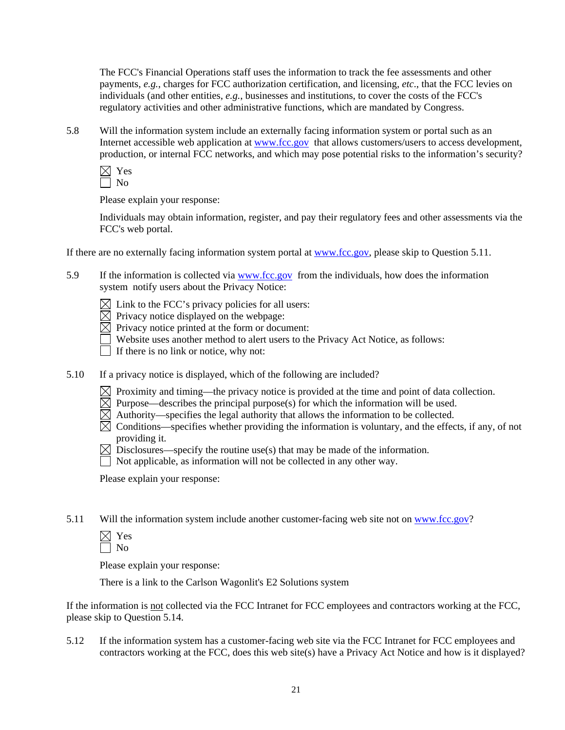The FCC's Financial Operations staff uses the information to track the fee assessments and other payments, *e.g.*, charges for FCC authorization certification, and licensing, *etc*., that the FCC levies on individuals (and other entities, *e.g.*, businesses and institutions, to cover the costs of the FCC's regulatory activities and other administrative functions, which are mandated by Congress.

5.8 Will the information system include an externally facing information system or portal such as an Internet accessible web application at [www.fcc.gov](http://www.fcc.gov/) that allows customers/users to access development, production, or internal FCC networks, and which may pose potential risks to the information's security?

 $\times$  Yes  $\sqrt{a}$ 

Please explain your response:

Individuals may obtain information, register, and pay their regulatory fees and other assessments via the FCC's web portal.

If there are no externally facing information system portal at www.fcc.gov, please skip to Question 5.11.

5.9 If the information is collected via [www.fcc.gov](http://www.fcc.gov/) from the individuals, how does the information system notify users about the Privacy Notice:

 $\boxtimes$  Link to the FCC's privacy policies for all users:

 $\overline{\boxtimes}$  Privacy notice displayed on the webpage:

 $\boxtimes$  Privacy notice printed at the form or document:

Website uses another method to alert users to the Privacy Act Notice, as follows:

 $\Box$  If there is no link or notice, why not:

5.10 If a privacy notice is displayed, which of the following are included?

- $\boxtimes$  Proximity and timing—the privacy notice is provided at the time and point of data collection.
- $\boxtimes$  Purpose—describes the principal purpose(s) for which the information will be used.
- $\boxtimes$  Authority—specifies the legal authority that allows the information to be collected.
- $\boxtimes$  Conditions—specifies whether providing the information is voluntary, and the effects, if any, of not providing it.
- $\boxtimes$  Disclosures—specify the routine use(s) that may be made of the information.
- Not applicable, as information will not be collected in any other way.

Please explain your response:

5.11 Will the information system include another customer-facing web site not on www.fcc.gov?

| ٣ |
|---|
| ٦ |
|   |

Please explain your response:

There is a link to the Carlson Wagonlit's E2 Solutions system

If the information is not collected via the FCC Intranet for FCC employees and contractors working at the FCC, please skip to Question 5.14.

5.12 If the information system has a customer-facing web site via the FCC Intranet for FCC employees and contractors working at the FCC, does this web site(s) have a Privacy Act Notice and how is it displayed?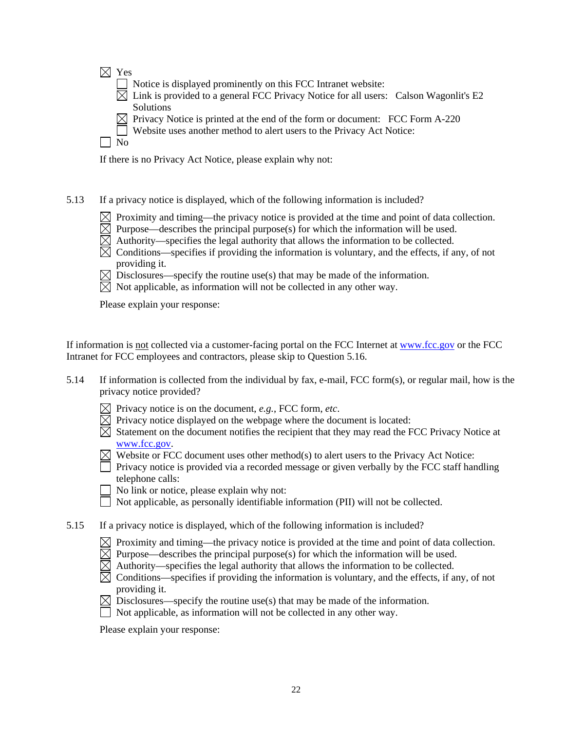$\boxtimes$  Yes

- $\Box$  Notice is displayed prominently on this FCC Intranet website:
- $\boxtimes$  Link is provided to a general FCC Privacy Notice for all users: Calson Wagonlit's E2 Solutions
- $\boxtimes$  Privacy Notice is printed at the end of the form or document: FCC Form A-220
- Website uses another method to alert users to the Privacy Act Notice:

|  | ×<br>v |
|--|--------|
|--|--------|

If there is no Privacy Act Notice, please explain why not:

- 5.13 If a privacy notice is displayed, which of the following information is included?
	- $\boxtimes$  Proximity and timing—the privacy notice is provided at the time and point of data collection.
	- $\overline{\boxtimes}$  Purpose—describes the principal purpose(s) for which the information will be used.
	- $\overline{\boxtimes}$  Authority—specifies the legal authority that allows the information to be collected.
	- $\boxtimes$  Conditions—specifies if providing the information is voluntary, and the effects, if any, of not providing it.
	- $\boxtimes$  Disclosures—specify the routine use(s) that may be made of the information.
	- $\overline{\boxtimes}$  Not applicable, as information will not be collected in any other way.

Please explain your response:

If information is not collected via a customer-facing portal on the FCC Internet at [www.fcc.gov](http://www.fcc.gov/) or the FCC Intranet for FCC employees and contractors, please skip to Question 5.16.

- 5.14 If information is collected from the individual by fax, e-mail, FCC form(s), or regular mail, how is the privacy notice provided?
	- $\boxtimes$  Privacy notice is on the document, *e.g.*, FCC form, *etc.*
	- $\boxtimes$  Privacy notice displayed on the webpage where the document is located:
	- $\overline{\boxtimes}$  Statement on the document notifies the recipient that they may read the FCC Privacy Notice at [www.fcc.gov](http://www.fcc.gov/).
	- $\boxtimes$  Website or FCC document uses other method(s) to alert users to the Privacy Act Notice:
	- $\Box$  Privacy notice is provided via a recorded message or given verbally by the FCC staff handling telephone calls:
	- No link or notice, please explain why not:
	- Not applicable, as personally identifiable information (PII) will not be collected.
- 5.15 If a privacy notice is displayed, which of the following information is included?
	- $\boxtimes$  Proximity and timing—the privacy notice is provided at the time and point of data collection.
	- $\boxtimes$  Purpose—describes the principal purpose(s) for which the information will be used.
	- $\boxtimes$  Authority—specifies the legal authority that allows the information to be collected.
	- $\overline{\boxtimes}$  Conditions—specifies if providing the information is voluntary, and the effects, if any, of not providing it.
	- $\boxtimes$  Disclosures—specify the routine use(s) that may be made of the information.
		- Not applicable, as information will not be collected in any other way.

Please explain your response: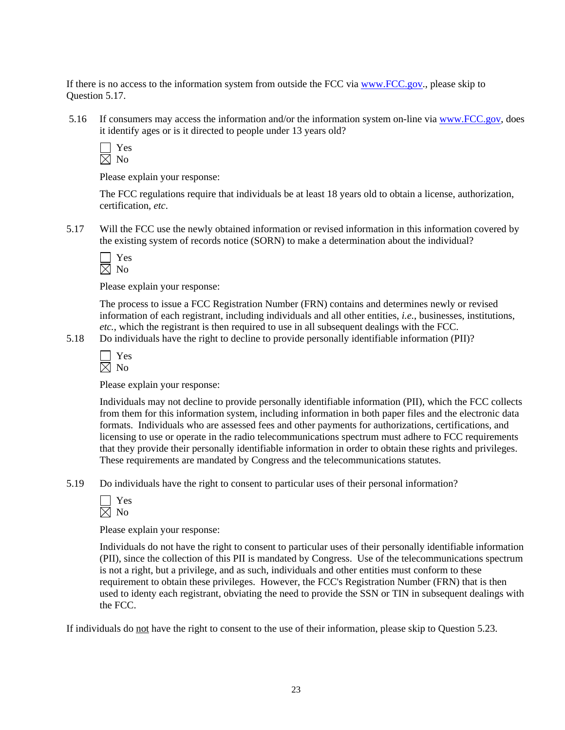If there is no access to the information system from outside the FCC via [www.FCC.gov](http://www.fcc.gov/)., please skip to Question 5.17.

 5.16 If consumers may access the information and/or the information system on-line via www.FCC.gov, does it identify ages or is it directed to people under 13 years old?

 Yes  $\boxtimes$  No

Please explain your response:

The FCC regulations require that individuals be at least 18 years old to obtain a license, authorization, certification, *etc*.

5.17 Will the FCC use the newly obtained information or revised information in this information covered by the existing system of records notice (SORN) to make a determination about the individual?



Please explain your response:

The process to issue a FCC Registration Number (FRN) contains and determines newly or revised information of each registrant, including individuals and all other entities, *i.e.*, businesses, institutions, *etc.*, which the registrant is then required to use in all subsequent dealings with the FCC.

5.18 Do individuals have the right to decline to provide personally identifiable information (PII)?

Please explain your response:

Individuals may not decline to provide personally identifiable information (PII), which the FCC collects from them for this information system, including information in both paper files and the electronic data formats. Individuals who are assessed fees and other payments for authorizations, certifications, and licensing to use or operate in the radio telecommunications spectrum must adhere to FCC requirements that they provide their personally identifiable information in order to obtain these rights and privileges. These requirements are mandated by Congress and the telecommunications statutes.

5.19 Do individuals have the right to consent to particular uses of their personal information?

Please explain your response:

Individuals do not have the right to consent to particular uses of their personally identifiable information (PII), since the collection of this PII is mandated by Congress. Use of the telecommunications spectrum is not a right, but a privilege, and as such, individuals and other entities must conform to these requirement to obtain these privileges. However, the FCC's Registration Number (FRN) that is then used to identy each registrant, obviating the need to provide the SSN or TIN in subsequent dealings with the FCC.

If individuals do not have the right to consent to the use of their information, please skip to Question 5.23.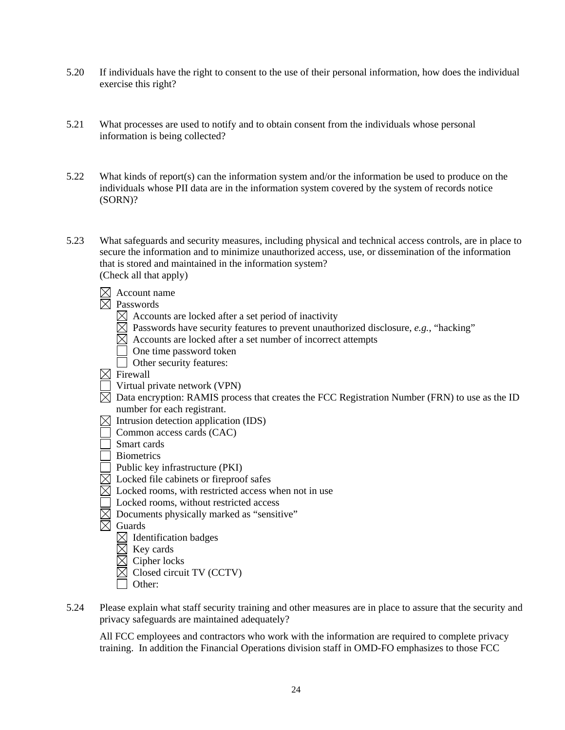- 5.20 If individuals have the right to consent to the use of their personal information, how does the individual exercise this right?
- 5.21 What processes are used to notify and to obtain consent from the individuals whose personal information is being collected?
- 5.22 What kinds of report(s) can the information system and/or the information be used to produce on the individuals whose PII data are in the information system covered by the system of records notice (SORN)?
- 5.23 What safeguards and security measures, including physical and technical access controls, are in place to secure the information and to minimize unauthorized access, use, or dissemination of the information that is stored and maintained in the information system? (Check all that apply)
	- $\boxtimes$  Account name
	- $\overline{\boxtimes}$  Passwords
		- $\boxtimes$  Accounts are locked after a set period of inactivity
		- $\boxtimes$  Passwords have security features to prevent unauthorized disclosure, *e.g.*, "hacking"
		- $\boxtimes$  Accounts are locked after a set number of incorrect attempts
		- $\Box$  One time password token
		- Other security features:
	- $\overline{\boxtimes}$  Firewall
	- $\Box$  Virtual private network (VPN)
	- $\overline{R}$  Data encryption: RAMIS process that creates the FCC Registration Number (FRN) to use as the ID number for each registrant.
	- $\boxtimes$  Intrusion detection application (IDS)
	- Common access cards (CAC)
	- Smart cards
	- **Biometrics**
	- Public key infrastructure (PKI)
	- $\overline{\boxtimes}$  Locked file cabinets or fireproof safes
	- $\boxtimes$  Locked rooms, with restricted access when not in use
	- Locked rooms, without restricted access
	- $\boxtimes$  Documents physically marked as "sensitive"
	- $\boxtimes$  Guards
		- $\boxtimes$  Identification badges
		- $\boxtimes$  Key cards<br> $\boxtimes$  Cipher loc
		- Cipher locks
		- Closed circuit TV (CCTV)
		- Other:
- 5.24 Please explain what staff security training and other measures are in place to assure that the security and privacy safeguards are maintained adequately?

 All FCC employees and contractors who work with the information are required to complete privacy training. In addition the Financial Operations division staff in OMD-FO emphasizes to those FCC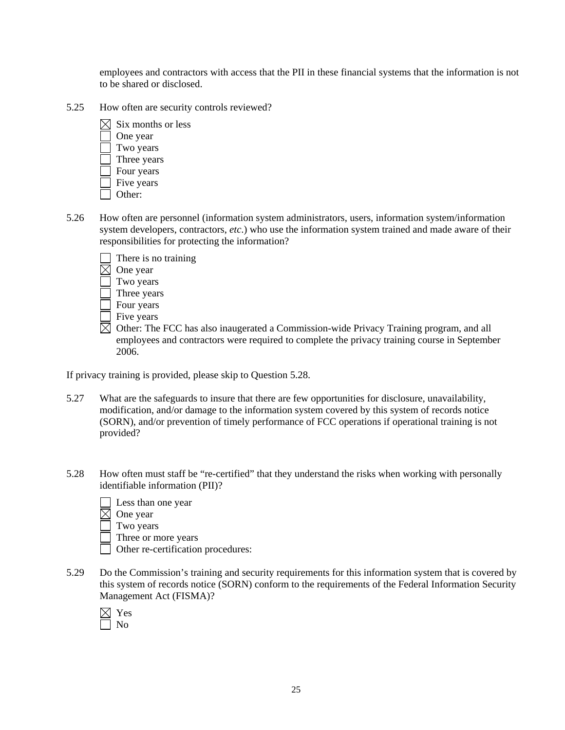employees and contractors with access that the PII in these financial systems that the information is not to be shared or disclosed.

5.25 How often are security controls reviewed?



- 5.26 How often are personnel (information system administrators, users, information system/information system developers, contractors, *etc*.) who use the information system trained and made aware of their responsibilities for protecting the information?
	- There is no training  $\boxtimes$  One year Two years Three years Four years  $\overline{\phantom{a}}$  Five years
	- $\boxtimes$  Other: The FCC has also inaugerated a Commission-wide Privacy Training program, and all employees and contractors were required to complete the privacy training course in September 2006.

If privacy training is provided, please skip to Question 5.28.

- 5.27 What are the safeguards to insure that there are few opportunities for disclosure, unavailability, modification, and/or damage to the information system covered by this system of records notice (SORN), and/or prevention of timely performance of FCC operations if operational training is not provided?
- 5.28 How often must staff be "re-certified" that they understand the risks when working with personally identifiable information (PII)?
	- Less than one year  $\boxtimes$  One year Two years Three or more years Other re-certification procedures:
- 5.29 Do the Commission's training and security requirements for this information system that is covered by this system of records notice (SORN) conform to the requirements of the Federal Information Security Management Act (FISMA)?
	- $\boxtimes$  Yes No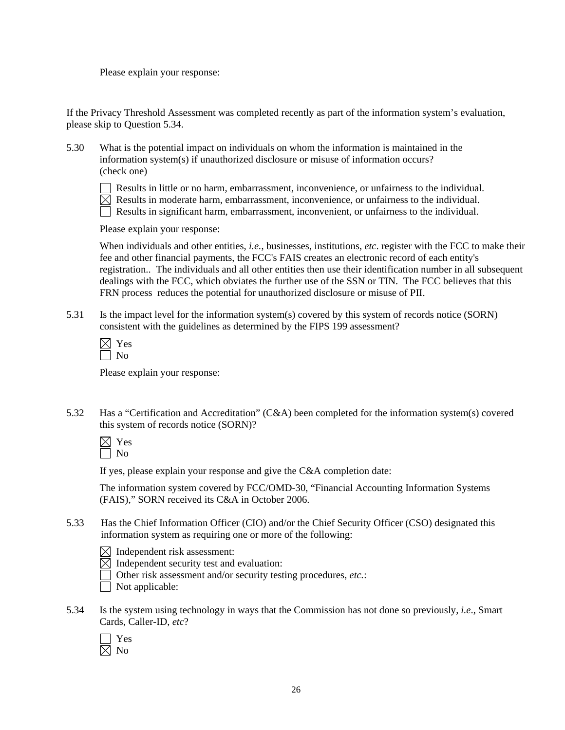Please explain your response:

If the Privacy Threshold Assessment was completed recently as part of the information system's evaluation, please skip to Question 5.34.

5.30 What is the potential impact on individuals on whom the information is maintained in the information system(s) if unauthorized disclosure or misuse of information occurs? (check one)



 Results in little or no harm, embarrassment, inconvenience, or unfairness to the individual.  $\overline{\boxtimes}$  Results in moderate harm, embarrassment, inconvenience, or unfairness to the individual.  $\Box$  Results in significant harm, embarrassment, inconvenient, or unfairness to the individual.

Please explain your response:

When individuals and other entities, *i.e.*, businesses, institutions, *etc*. register with the FCC to make their fee and other financial payments, the FCC's FAIS creates an electronic record of each entity's registration.. The individuals and all other entities then use their identification number in all subsequent dealings with the FCC, which obviates the further use of the SSN or TIN. The FCC believes that this FRN process reduces the potential for unauthorized disclosure or misuse of PII.

5.31 Is the impact level for the information system(s) covered by this system of records notice (SORN) consistent with the guidelines as determined by the FIPS 199 assessment?

Please explain your response:

5.32 Has a "Certification and Accreditation" (C&A) been completed for the information system(s) covered this system of records notice (SORN)?

If yes, please explain your response and give the C&A completion date:

The information system covered by FCC/OMD-30, "Financial Accounting Information Systems (FAIS)," SORN received its C&A in October 2006.

- 5.33 Has the Chief Information Officer (CIO) and/or the Chief Security Officer (CSO) designated this information system as requiring one or more of the following:
	- $\boxtimes$  Independent risk assessment:
	- $\boxtimes$  Independent security test and evaluation:
		- Other risk assessment and/or security testing procedures, *etc.*:
	- $\Box$  Not applicable:
- 5.34 Is the system using technology in ways that the Commission has not done so previously, *i.e*., Smart Cards, Caller-ID, *etc*?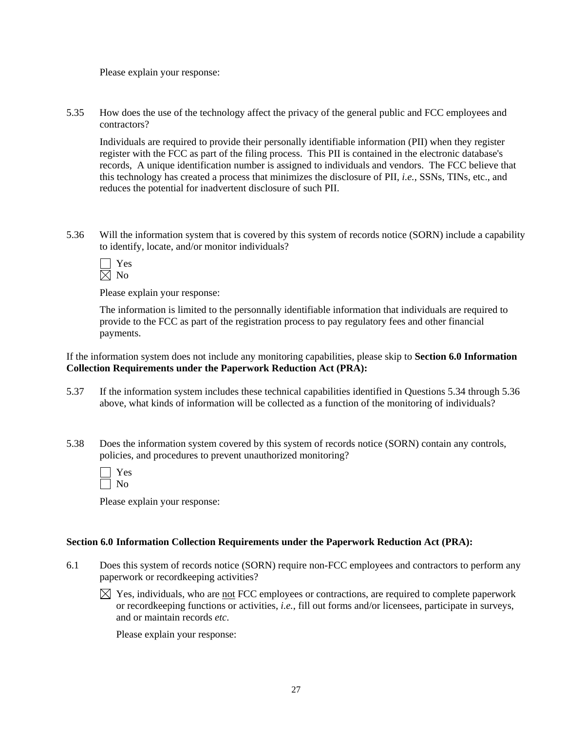Please explain your response:

5.35 How does the use of the technology affect the privacy of the general public and FCC employees and contractors?

Individuals are required to provide their personally identifiable information (PII) when they register register with the FCC as part of the filing process. This PII is contained in the electronic database's records, A unique identification number is assigned to individuals and vendors. The FCC believe that this technology has created a process that minimizes the disclosure of PII, *i.e.*, SSNs, TINs, etc., and reduces the potential for inadvertent disclosure of such PII.

5.36 Will the information system that is covered by this system of records notice (SORN) include a capability to identify, locate, and/or monitor individuals?

Please explain your response:

 The information is limited to the personnally identifiable information that individuals are required to provide to the FCC as part of the registration process to pay regulatory fees and other financial payments.

If the information system does not include any monitoring capabilities, please skip to **Section 6.0 Information Collection Requirements under the Paperwork Reduction Act (PRA):** 

- 5.37 If the information system includes these technical capabilities identified in Questions 5.34 through 5.36 above, what kinds of information will be collected as a function of the monitoring of individuals?
- 5.38 Does the information system covered by this system of records notice (SORN) contain any controls, policies, and procedures to prevent unauthorized monitoring?

| ÷.<br>٣ |
|---------|
|         |

Please explain your response:

#### **Section 6.0 Information Collection Requirements under the Paperwork Reduction Act (PRA):**

- 6.1 Does this system of records notice (SORN) require non-FCC employees and contractors to perform any paperwork or recordkeeping activities?
	- $\boxtimes$  Yes, individuals, who are not FCC employees or contractions, are required to complete paperwork or recordkeeping functions or activities, *i.e.*, fill out forms and/or licensees, participate in surveys, and or maintain records *etc*.

Please explain your response: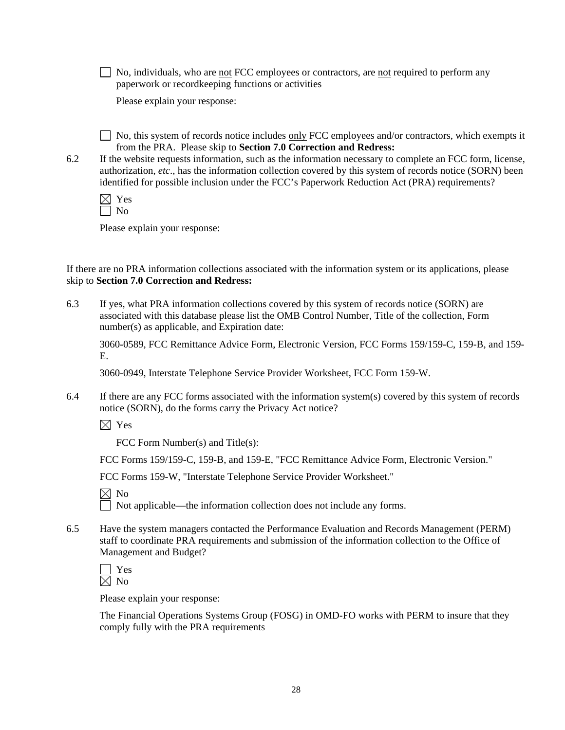$\Box$  No, individuals, who are <u>not</u> FCC employees or contractors, are <u>not</u> required to perform any paperwork or recordkeeping functions or activities

Please explain your response:

 $\Box$  No, this system of records notice includes only FCC employees and/or contractors, which exempts it from the PRA. Please skip to **Section 7.0 Correction and Redress:**

6.2 If the website requests information, such as the information necessary to complete an FCC form, license, authorization, *etc*., has the information collection covered by this system of records notice (SORN) been identified for possible inclusion under the FCC's Paperwork Reduction Act (PRA) requirements?

Please explain your response:

If there are no PRA information collections associated with the information system or its applications, please skip to **Section 7.0 Correction and Redress:**

6.3 If yes, what PRA information collections covered by this system of records notice (SORN) are associated with this database please list the OMB Control Number, Title of the collection, Form number(s) as applicable, and Expiration date:

3060-0589, FCC Remittance Advice Form, Electronic Version, FCC Forms 159/159-C, 159-B, and 159- E.

3060-0949, Interstate Telephone Service Provider Worksheet, FCC Form 159-W.

6.4 If there are any FCC forms associated with the information system(s) covered by this system of records notice (SORN), do the forms carry the Privacy Act notice?

 $\boxtimes$  Yes

FCC Form Number(s) and Title(s):

FCC Forms 159/159-C, 159-B, and 159-E, "FCC Remittance Advice Form, Electronic Version."

FCC Forms 159-W, "Interstate Telephone Service Provider Worksheet."

|  | ۰. |
|--|----|
|--|----|

 $\Box$  Not applicable—the information collection does not include any forms.

6.5 Have the system managers contacted the Performance Evaluation and Records Management (PERM) staff to coordinate PRA requirements and submission of the information collection to the Office of Management and Budget?

Please explain your response:

The Financial Operations Systems Group (FOSG) in OMD-FO works with PERM to insure that they comply fully with the PRA requirements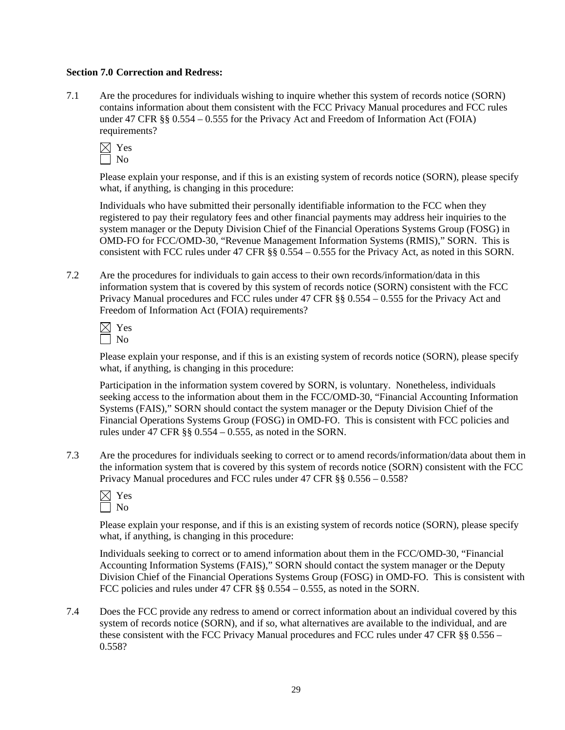#### **Section 7.0 Correction and Redress:**

7.1 Are the procedures for individuals wishing to inquire whether this system of records notice (SORN) contains information about them consistent with the FCC Privacy Manual procedures and FCC rules under 47 CFR §§ 0.554 – 0.555 for the Privacy Act and Freedom of Information Act (FOIA) requirements?



Please explain your response, and if this is an existing system of records notice (SORN), please specify what, if anything, is changing in this procedure:

 Individuals who have submitted their personally identifiable information to the FCC when they registered to pay their regulatory fees and other financial payments may address heir inquiries to the system manager or the Deputy Division Chief of the Financial Operations Systems Group (FOSG) in OMD-FO for FCC/OMD-30, "Revenue Management Information Systems (RMIS)," SORN. This is consistent with FCC rules under 47 CFR §§ 0.554 – 0.555 for the Privacy Act, as noted in this SORN.

7.2 Are the procedures for individuals to gain access to their own records/information/data in this information system that is covered by this system of records notice (SORN) consistent with the FCC Privacy Manual procedures and FCC rules under 47 CFR §§ 0.554 – 0.555 for the Privacy Act and Freedom of Information Act (FOIA) requirements?

Please explain your response, and if this is an existing system of records notice (SORN), please specify what, if anything, is changing in this procedure:

Participation in the information system covered by SORN, is voluntary. Nonetheless, individuals seeking access to the information about them in the FCC/OMD-30, "Financial Accounting Information Systems (FAIS)," SORN should contact the system manager or the Deputy Division Chief of the Financial Operations Systems Group (FOSG) in OMD-FO. This is consistent with FCC policies and rules under 47 CFR  $\S$ § 0.554 – 0.555, as noted in the SORN.

7.3 Are the procedures for individuals seeking to correct or to amend records/information/data about them in the information system that is covered by this system of records notice (SORN) consistent with the FCC Privacy Manual procedures and FCC rules under 47 CFR §§ 0.556 – 0.558?

Please explain your response, and if this is an existing system of records notice (SORN), please specify what, if anything, is changing in this procedure:

Individuals seeking to correct or to amend information about them in the FCC/OMD-30, "Financial Accounting Information Systems (FAIS)," SORN should contact the system manager or the Deputy Division Chief of the Financial Operations Systems Group (FOSG) in OMD-FO. This is consistent with FCC policies and rules under 47 CFR §§ 0.554 – 0.555, as noted in the SORN.

7.4 Does the FCC provide any redress to amend or correct information about an individual covered by this system of records notice (SORN), and if so, what alternatives are available to the individual, and are these consistent with the FCC Privacy Manual procedures and FCC rules under 47 CFR §§ 0.556 – 0.558?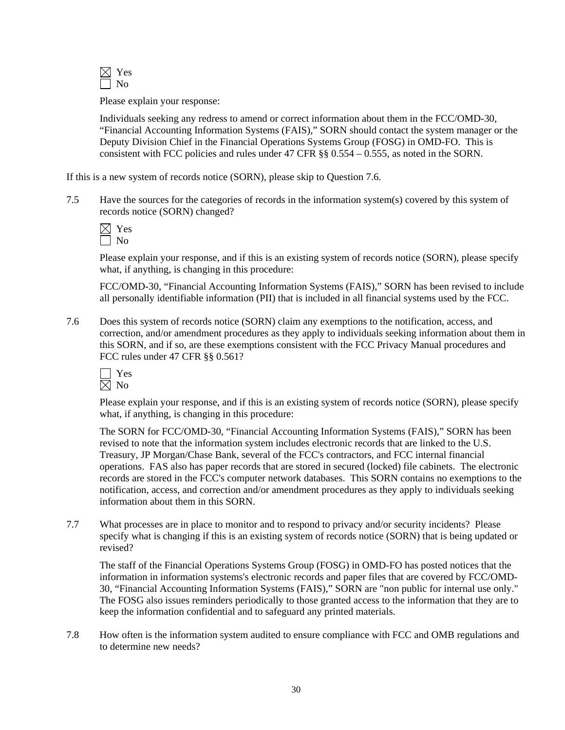

Please explain your response:

 Individuals seeking any redress to amend or correct information about them in the FCC/OMD-30, "Financial Accounting Information Systems (FAIS)," SORN should contact the system manager or the Deputy Division Chief in the Financial Operations Systems Group (FOSG) in OMD-FO. This is consistent with FCC policies and rules under 47 CFR §§ 0.554 – 0.555, as noted in the SORN.

If this is a new system of records notice (SORN), please skip to Question 7.6.

7.5 Have the sources for the categories of records in the information system(s) covered by this system of records notice (SORN) changed?

Please explain your response, and if this is an existing system of records notice (SORN), please specify what, if anything, is changing in this procedure:

 FCC/OMD-30, "Financial Accounting Information Systems (FAIS)," SORN has been revised to include all personally identifiable information (PII) that is included in all financial systems used by the FCC.

7.6 Does this system of records notice (SORN) claim any exemptions to the notification, access, and correction, and/or amendment procedures as they apply to individuals seeking information about them in this SORN, and if so, are these exemptions consistent with the FCC Privacy Manual procedures and FCC rules under 47 CFR §§ 0.561?

Please explain your response, and if this is an existing system of records notice (SORN), please specify what, if anything, is changing in this procedure:

 The SORN for FCC/OMD-30, "Financial Accounting Information Systems (FAIS)," SORN has been revised to note that the information system includes electronic records that are linked to the U.S. Treasury, JP Morgan/Chase Bank, several of the FCC's contractors, and FCC internal financial operations. FAS also has paper records that are stored in secured (locked) file cabinets. The electronic records are stored in the FCC's computer network databases. This SORN contains no exemptions to the notification, access, and correction and/or amendment procedures as they apply to individuals seeking information about them in this SORN.

7.7 What processes are in place to monitor and to respond to privacy and/or security incidents? Please specify what is changing if this is an existing system of records notice (SORN) that is being updated or revised?

 The staff of the Financial Operations Systems Group (FOSG) in OMD-FO has posted notices that the information in information systems's electronic records and paper files that are covered by FCC/OMD-30, "Financial Accounting Information Systems (FAIS)," SORN are "non public for internal use only." The FOSG also issues reminders periodically to those granted access to the information that they are to keep the information confidential and to safeguard any printed materials.

7.8 How often is the information system audited to ensure compliance with FCC and OMB regulations and to determine new needs?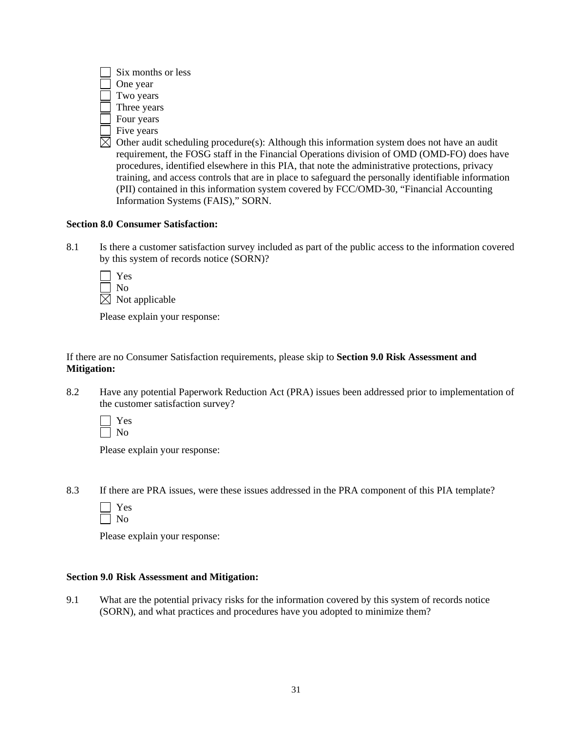| Six months or less  |
|---------------------|
| One year            |
| Two years           |
| Three years         |
| Four years          |
| Five years          |
| Other audit schedul |
| requirement, the FC |
| procedures identifi |

 $\lim g$  procedure(s): Although this information system does not have an audit DSG staff in the Financial Operations division of OMD (OMD-FO) does have procedures, identified elsewhere in this PIA, that note the administrative protections, privacy training, and access controls that are in place to safeguard the personally identifiable information (PII) contained in this information system covered by FCC/OMD-30, "Financial Accounting Information Systems (FAIS)," SORN.

#### **Section 8.0 Consumer Satisfaction:**

8.1 Is there a customer satisfaction survey included as part of the public access to the information covered by this system of records notice (SORN)?

| Yes                     |
|-------------------------|
| No.                     |
| $\times$ Not applicable |

Please explain your response:

If there are no Consumer Satisfaction requirements, please skip to **Section 9.0 Risk Assessment and Mitigation:** 

8.2 Have any potential Paperwork Reduction Act (PRA) issues been addressed prior to implementation of the customer satisfaction survey?

 Yes  $\Box$  No

Please explain your response:

8.3 If there are PRA issues, were these issues addressed in the PRA component of this PIA template?

Please explain your response:

#### **Section 9.0 Risk Assessment and Mitigation:**

9.1 What are the potential privacy risks for the information covered by this system of records notice (SORN), and what practices and procedures have you adopted to minimize them?